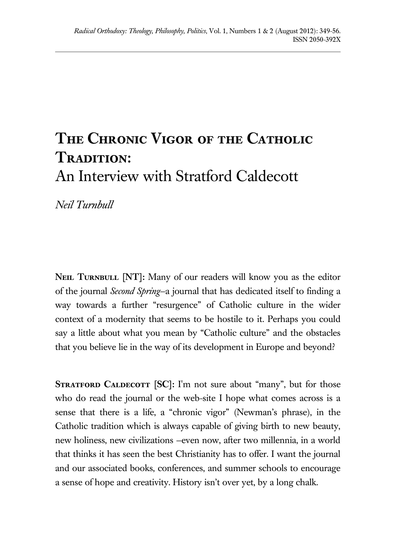## **The Chronic Vigor of the Catholic Tradition:** An Interview with Stratford Caldecott

*Neil Turnbull*

NEIL TURNBULL [NT]: Many of our readers will know you as the editor of the journal *Second Spring*—a journal that has dedicated itself to finding a way towards a further "resurgence" of Catholic culture in the wider context of a modernity that seems to be hostile to it. Perhaps you could say a little about what you mean by "Catholic culture" and the obstacles that you believe lie in the way of its development in Europe and beyond?

**STRATFORD CALDECOTT [SC]:** I'm not sure about "many", but for those who do read the journal or the web-site I hope what comes across is a sense that there is a life, a "chronic vigor" (Newman's phrase), in the Catholic tradition which is always capable of giving birth to new beauty, new holiness, new civilizations —even now, after two millennia, in a world that thinks it has seen the best Christianity has to offer. I want the journal and our associated books, conferences, and summer schools to encourage a sense of hope and creativity. History isn't over yet, by a long chalk.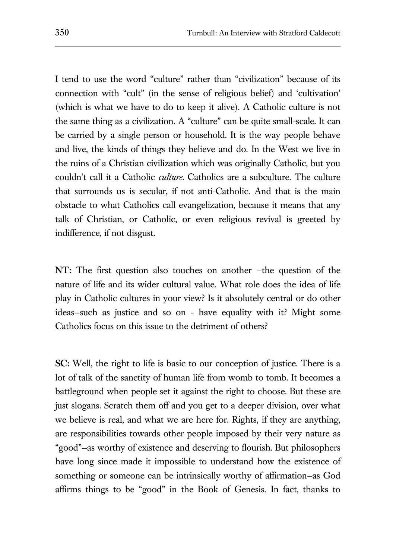I tend to use the word "culture" rather than "civilization" because of its connection with "cult" (in the sense of religious belief) and 'cultivation' (which is what we have to do to keep it alive). A Catholic culture is not the same thing as a civilization. A "culture" can be quite small-scale. It can be carried by a single person or household. It is the way people behave and live, the kinds of things they believe and do. In the West we live in the ruins of a Christian civilization which was originally Catholic, but you couldn't call it a Catholic *culture.* Catholics are a subculture. The culture that surrounds us is secular, if not anti-Catholic. And that is the main obstacle to what Catholics call evangelization, because it means that any talk of Christian, or Catholic, or even religious revival is greeted by indifference, if not disgust.

**NT:** The first question also touches on another —the question of the nature of life and its wider cultural value. What role does the idea of life play in Catholic cultures in your view? Is it absolutely central or do other ideas—such as justice and so on - have equality with it? Might some Catholics focus on this issue to the detriment of others?

**SC:** Well, the right to life is basic to our conception of justice. There is a lot of talk of the sanctity of human life from womb to tomb. It becomes a battleground when people set it against the right to choose. But these are just slogans. Scratch them off and you get to a deeper division, over what we believe is real, and what we are here for. Rights, if they are anything, are responsibilities towards other people imposed by their very nature as "good"—as worthy of existence and deserving to flourish. But philosophers have long since made it impossible to understand how the existence of something or someone can be intrinsically worthy of affirmation—as God affirms things to be "good" in the Book of Genesis. In fact, thanks to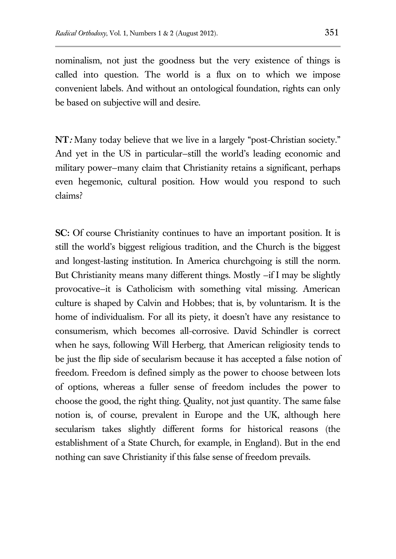nominalism, not just the goodness but the very existence of things is called into question. The world is a flux on to which we impose convenient labels. And without an ontological foundation, rights can only be based on subjective will and desire.

**NT:** Many today believe that we live in a largely "post-Christian society." And yet in the US in particular—still the world's leading economic and military power—many claim that Christianity retains a significant, perhaps even hegemonic, cultural position. How would you respond to such claims?

**SC:** Of course Christianity continues to have an important position. It is still the world's biggest religious tradition, and the Church is the biggest and longest-lasting institution. In America churchgoing is still the norm. But Christianity means many different things. Mostly —if I may be slightly provocative—it is Catholicism with something vital missing. American culture is shaped by Calvin and Hobbes; that is, by voluntarism. It is the home of individualism. For all its piety, it doesn't have any resistance to consumerism, which becomes all-corrosive. David Schindler is correct when he says, following Will Herberg, that American religiosity tends to be just the flip side of secularism because it has accepted a false notion of freedom. Freedom is defined simply as the power to choose between lots of options, whereas a fuller sense of freedom includes the power to choose the good, the right thing. Quality, not just quantity. The same false notion is, of course, prevalent in Europe and the UK, although here secularism takes slightly different forms for historical reasons (the establishment of a State Church, for example, in England). But in the end nothing can save Christianity if this false sense of freedom prevails.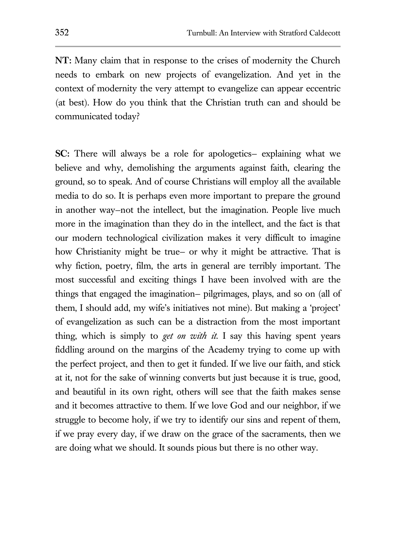**NT:** Many claim that in response to the crises of modernity the Church needs to embark on new projects of evangelization. And yet in the context of modernity the very attempt to evangelize can appear eccentric (at best). How do you think that the Christian truth can and should be communicated today?

**SC:** There will always be a role for apologetics— explaining what we believe and why, demolishing the arguments against faith, clearing the ground, so to speak. And of course Christians will employ all the available media to do so. It is perhaps even more important to prepare the ground in another way—not the intellect, but the imagination. People live much more in the imagination than they do in the intellect, and the fact is that our modern technological civilization makes it very difficult to imagine how Christianity might be true— or why it might be attractive. That is why fiction, poetry, film, the arts in general are terribly important. The most successful and exciting things I have been involved with are the things that engaged the imagination— pilgrimages, plays, and so on (all of them, I should add, my wife's initiatives not mine). But making a 'project' of evangelization as such can be a distraction from the most important thing, which is simply to *get on with it*. I say this having spent years fiddling around on the margins of the Academy trying to come up with the perfect project, and then to get it funded. If we live our faith, and stick at it, not for the sake of winning converts but just because it is true, good, and beautiful in its own right, others will see that the faith makes sense and it becomes attractive to them. If we love God and our neighbor, if we struggle to become holy, if we try to identify our sins and repent of them, if we pray every day, if we draw on the grace of the sacraments, then we are doing what we should. It sounds pious but there is no other way.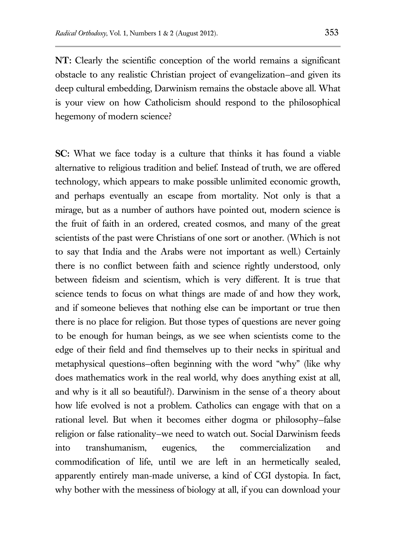**NT:** Clearly the scientific conception of the world remains a significant obstacle to any realistic Christian project of evangelization—and given its deep cultural embedding, Darwinism remains the obstacle above all. What is your view on how Catholicism should respond to the philosophical hegemony of modern science?

**SC:** What we face today is a culture that thinks it has found a viable alternative to religious tradition and belief. Instead of truth, we are offered technology, which appears to make possible unlimited economic growth, and perhaps eventually an escape from mortality. Not only is that a mirage, but as a number of authors have pointed out, modern science is the fruit of faith in an ordered, created cosmos, and many of the great scientists of the past were Christians of one sort or another. (Which is not to say that India and the Arabs were not important as well.) Certainly there is no conflict between faith and science rightly understood, only between fideism and scientism, which is very different. It is true that science tends to focus on what things are made of and how they work, and if someone believes that nothing else can be important or true then there is no place for religion. But those types of questions are never going to be enough for human beings, as we see when scientists come to the edge of their field and find themselves up to their necks in spiritual and metaphysical questions—often beginning with the word "why" (like why does mathematics work in the real world, why does anything exist at all, and why is it all so beautiful?). Darwinism in the sense of a theory about how life evolved is not a problem. Catholics can engage with that on a rational level. But when it becomes either dogma or philosophy—false religion or false rationality—we need to watch out. Social Darwinism feeds into transhumanism, eugenics, the commercialization and commodification of life, until we are left in an hermetically sealed, apparently entirely man-made universe, a kind of CGI dystopia. In fact, why bother with the messiness of biology at all, if you can download your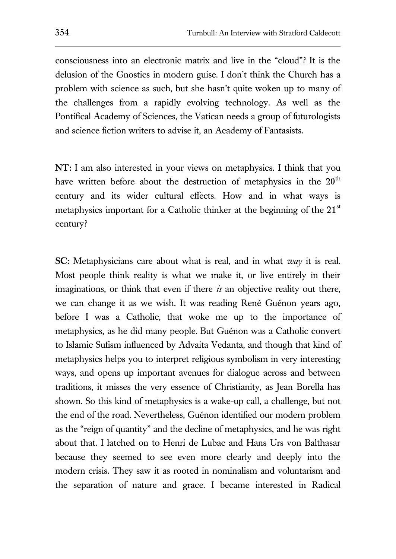consciousness into an electronic matrix and live in the "cloud"? It is the delusion of the Gnostics in modern guise. I don't think the Church has a problem with science as such, but she hasn't quite woken up to many of the challenges from a rapidly evolving technology. As well as the Pontifical Academy of Sciences, the Vatican needs a group of futurologists and science fiction writers to advise it, an Academy of Fantasists.

**NT:** I am also interested in your views on metaphysics. I think that you have written before about the destruction of metaphysics in the  $20<sup>th</sup>$ century and its wider cultural effects. How and in what ways is metaphysics important for a Catholic thinker at the beginning of the  $21<sup>st</sup>$ century?

**SC:** Metaphysicians care about what is real, and in what *way* it is real. Most people think reality is what we make it, or live entirely in their imaginations, or think that even if there *is* an objective reality out there, we can change it as we wish. It was reading René Guénon years ago, before I was a Catholic, that woke me up to the importance of metaphysics, as he did many people. But Guénon was a Catholic convert to Islamic Sufism influenced by Advaita Vedanta, and though that kind of metaphysics helps you to interpret religious symbolism in very interesting ways, and opens up important avenues for dialogue across and between traditions, it misses the very essence of Christianity, as Jean Borella has shown. So this kind of metaphysics is a wake-up call, a challenge, but not the end of the road. Nevertheless, Guénon identified our modern problem as the "reign of quantity" and the decline of metaphysics, and he was right about that. I latched on to Henri de Lubac and Hans Urs von Balthasar because they seemed to see even more clearly and deeply into the modern crisis. They saw it as rooted in nominalism and voluntarism and the separation of nature and grace. I became interested in Radical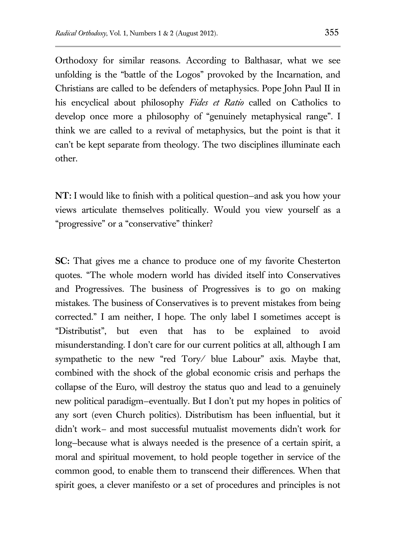Orthodoxy for similar reasons. According to Balthasar, what we see unfolding is the "battle of the Logos" provoked by the Incarnation, and Christians are called to be defenders of metaphysics. Pope John Paul II in his encyclical about philosophy *Fides et Ratio* called on Catholics to develop once more a philosophy of "genuinely metaphysical range". I think we are called to a revival of metaphysics, but the point is that it can't be kept separate from theology. The two disciplines illuminate each other.

**NT:** I would like to finish with a political question—and ask you how your views articulate themselves politically. Would you view yourself as a "progressive" or a "conservative" thinker?

**SC:** That gives me a chance to produce one of my favorite Chesterton quotes. "The whole modern world has divided itself into Conservatives and Progressives. The business of Progressives is to go on making mistakes. The business of Conservatives is to prevent mistakes from being corrected." I am neither, I hope. The only label I sometimes accept is "Distributist", but even that has to be explained to avoid misunderstanding. I don't care for our current politics at all, although I am sympathetic to the new "red Tory/ blue Labour" axis. Maybe that, combined with the shock of the global economic crisis and perhaps the collapse of the Euro, will destroy the status quo and lead to a genuinely new political paradigm—eventually. But I don't put my hopes in politics of any sort (even Church politics). Distributism has been influential, but it didn't work*—* and most successful mutualist movements didn't work for long—because what is always needed is the presence of a certain spirit, a moral and spiritual movement, to hold people together in service of the common good, to enable them to transcend their differences. When that spirit goes, a clever manifesto or a set of procedures and principles is not